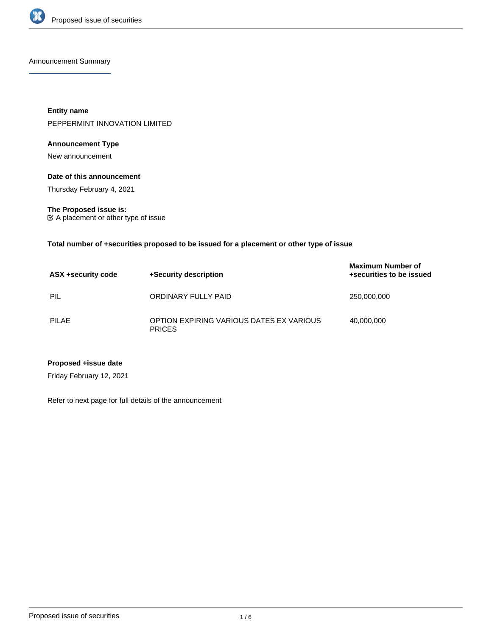

Announcement Summary

**Entity name** PEPPERMINT INNOVATION LIMITED

## **Announcement Type**

New announcement

#### **Date of this announcement**

Thursday February 4, 2021

**The Proposed issue is:** A placement or other type of issue

#### **Total number of +securities proposed to be issued for a placement or other type of issue**

| ASX +security code | +Security description                                     | <b>Maximum Number of</b><br>+securities to be issued |
|--------------------|-----------------------------------------------------------|------------------------------------------------------|
| PIL                | ORDINARY FULLY PAID                                       | 250,000,000                                          |
| PILAE              | OPTION EXPIRING VARIOUS DATES EX VARIOUS<br><b>PRICES</b> | 40.000.000                                           |

## **Proposed +issue date**

Friday February 12, 2021

Refer to next page for full details of the announcement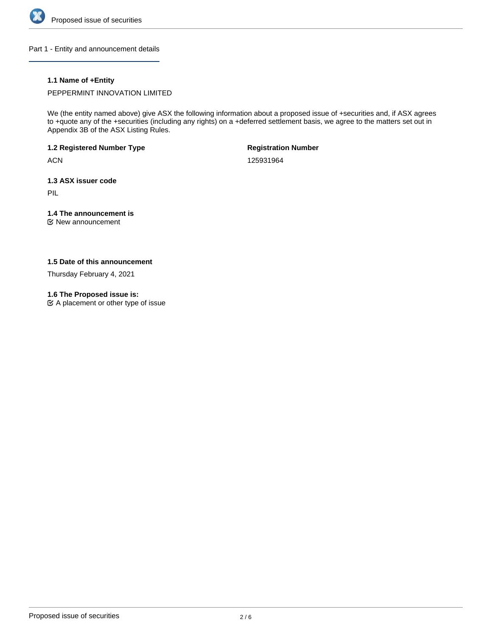

Part 1 - Entity and announcement details

## **1.1 Name of +Entity**

PEPPERMINT INNOVATION LIMITED

We (the entity named above) give ASX the following information about a proposed issue of +securities and, if ASX agrees to +quote any of the +securities (including any rights) on a +deferred settlement basis, we agree to the matters set out in Appendix 3B of the ASX Listing Rules.

**1.2 Registered Number Type**

**ACN** 

**Registration Number**

125931964

**1.3 ASX issuer code**

PIL

## **1.4 The announcement is**

New announcement

## **1.5 Date of this announcement**

Thursday February 4, 2021

### **1.6 The Proposed issue is:**

 $\mathfrak{C}$  A placement or other type of issue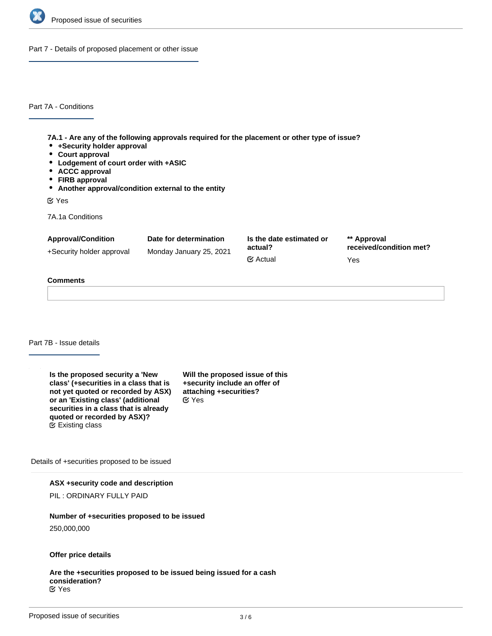

Part 7 - Details of proposed placement or other issue

Part 7A - Conditions

**7A.1 - Are any of the following approvals required for the placement or other type of issue?**

- **+Security holder approval**
- **Court approval**
- **Lodgement of court order with +ASIC**
- **ACCC approval**
- **FIRB approval**
- **Another approval/condition external to the entity**

Yes

7A.1a Conditions

| Date for determination | Is the date estimated or<br>actual? | ** Approval<br>received/condition met? |
|------------------------|-------------------------------------|----------------------------------------|
|                        |                                     |                                        |
|                        | $\mathfrak{C}$ Actual               | Yes                                    |
|                        | Monday January 25, 2021             |                                        |

## **Comments**

Part 7B - Issue details

| Is the proposed security a 'New<br>class' (+securities in a class that is<br>not yet quoted or recorded by ASX)<br>or an 'Existing class' (additional<br>securities in a class that is already<br>quoted or recorded by ASX)?<br>$\mathfrak{S}$ Existing class | Will the proposed issue of this<br>+security include an offer of<br>attaching +securities?<br>$\mathfrak{C}$ Yes |
|----------------------------------------------------------------------------------------------------------------------------------------------------------------------------------------------------------------------------------------------------------------|------------------------------------------------------------------------------------------------------------------|
|----------------------------------------------------------------------------------------------------------------------------------------------------------------------------------------------------------------------------------------------------------------|------------------------------------------------------------------------------------------------------------------|

Details of +securities proposed to be issued

#### **ASX +security code and description**

PIL : ORDINARY FULLY PAID

## **Number of +securities proposed to be issued**

250,000,000

#### **Offer price details**

**Are the +securities proposed to be issued being issued for a cash consideration?** Yes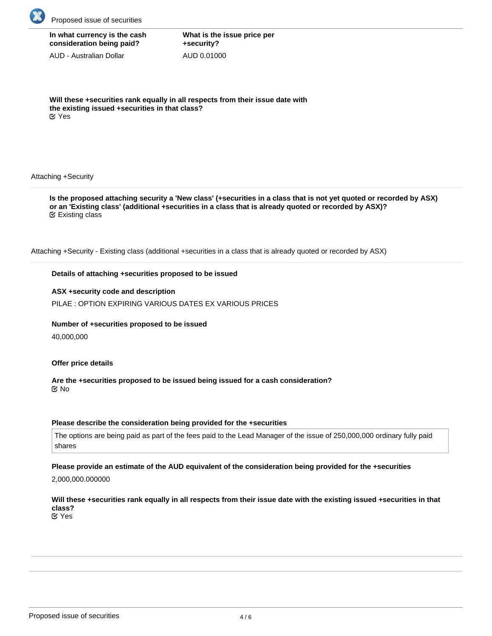

| In what currency is the cash |
|------------------------------|
| consideration being paid?    |

AUD - Australian Dollar

**What is the issue price per +security?** AUD 0.01000

**Will these +securities rank equally in all respects from their issue date with the existing issued +securities in that class?** Yes

Attaching +Security

**Is the proposed attaching security a 'New class' (+securities in a class that is not yet quoted or recorded by ASX) or an 'Existing class' (additional +securities in a class that is already quoted or recorded by ASX)?** Existing class

Attaching +Security - Existing class (additional +securities in a class that is already quoted or recorded by ASX)

## **Details of attaching +securities proposed to be issued**

## **ASX +security code and description**

PILAE : OPTION EXPIRING VARIOUS DATES EX VARIOUS PRICES

## **Number of +securities proposed to be issued**

40,000,000

## **Offer price details**

**Are the +securities proposed to be issued being issued for a cash consideration?** No

## **Please describe the consideration being provided for the +securities**

The options are being paid as part of the fees paid to the Lead Manager of the issue of 250,000,000 ordinary fully paid shares

# **Please provide an estimate of the AUD equivalent of the consideration being provided for the +securities**

2,000,000.000000

#### **Will these +securities rank equally in all respects from their issue date with the existing issued +securities in that class?** Yes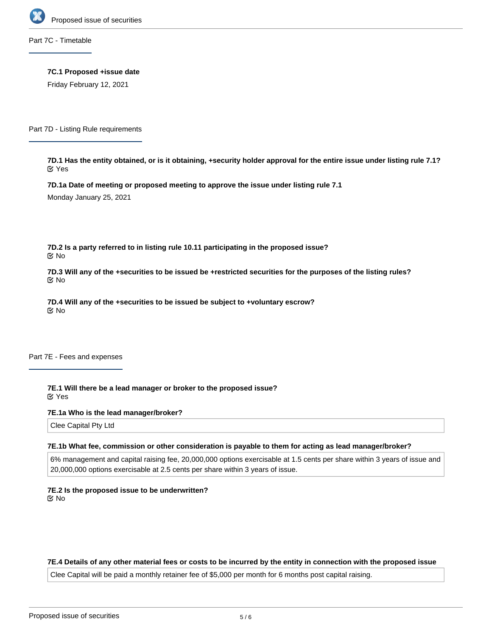

Part 7C - Timetable

**7C.1 Proposed +issue date**

Friday February 12, 2021

Part 7D - Listing Rule requirements

**7D.1 Has the entity obtained, or is it obtaining, +security holder approval for the entire issue under listing rule 7.1?** Yes

**7D.1a Date of meeting or proposed meeting to approve the issue under listing rule 7.1**

Monday January 25, 2021

**7D.2 Is a party referred to in listing rule 10.11 participating in the proposed issue?** No

**7D.3 Will any of the +securities to be issued be +restricted securities for the purposes of the listing rules?** No

**7D.4 Will any of the +securities to be issued be subject to +voluntary escrow?** No

Part 7E - Fees and expenses

**7E.1 Will there be a lead manager or broker to the proposed issue?** Yes

**7E.1a Who is the lead manager/broker?**

Clee Capital Pty Ltd

#### **7E.1b What fee, commission or other consideration is payable to them for acting as lead manager/broker?**

6% management and capital raising fee, 20,000,000 options exercisable at 1.5 cents per share within 3 years of issue and 20,000,000 options exercisable at 2.5 cents per share within 3 years of issue.

**7E.2 Is the proposed issue to be underwritten?** No

#### **7E.4 Details of any other material fees or costs to be incurred by the entity in connection with the proposed issue**

Clee Capital will be paid a monthly retainer fee of \$5,000 per month for 6 months post capital raising.